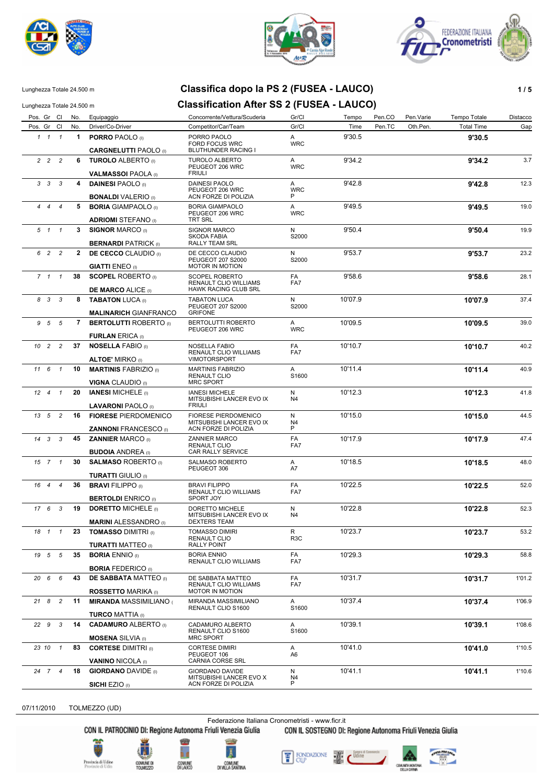





**CARGNELUTTI** PAOLO (I)

 *1 1*

#### Lunghezza Totale 24.500 m **Classifica dopo la PS 2 (FUSEA - LAUCO) 1 / 5**

#### Lunghezza Totale 24.500 m **Classification After SS 2 (FUSEA - LAUCO)** Pos. Gr Cl No. Equipaggio Concorrente/Vettura/Scuderia Gr/Cl Tempo Pen.CO Pen.Varie Tempo Totale Distacco

Pos. Gr Cl No. Driver/Co-Driver Competitor/Car/Team Gr/Cl Gr/Cl Time Pen.TC Oth.Pen. Total Time Gap

A WRC

9'30.5

*1* **1 PORRO** PAOLO (I) PORRO PAOLO **9'30.5**

FORD FOCUS WRC

BLUTHUNDER RACING I

*2* **6 TUROLO** ALBERTO (I) TUROLO ALBERTO **9'34.2** 3.7 PEUGEOT 206 WRC  *2 2* **VALMASSOI** PAOLA (I) 9'34.2 FRIULI A WRC *3* **4 DAINESI** PAOLO (I) DAINESI PAOLO **9'42.8** 12.3 PEUGEOT 206 WRC  *3 3* **BONALDI** VALERIO (I) 9'42.8 ACN FORZE DI POLIZIA A WRC P *4* **5 BORIA** GIAMPAOLO (I) BORIA GIAMPAOLO **9'49.5** 19.0 PEUGEOT 206 WRC  *4 4* **ADRIOMI** STEFANO (I) 9'49.5 TRT SRL A WRC *5* **3 SIGNOR** MARCO (I) SIGNOR MARCO **9'50.4** 19.9 SKODA FABIA  *1 1* **BERNARDI** PATRICK (I) 9'50.4 RALLY TEAM SRL N S2000 *6* **2 DE CECCO** CLAUDIO (I) DE CECCO CLAUDIO **9'53.7** 23.2 PEUGEOT 207 S2000  *2 2* **GIATTI** ENEO (I) 9'53.7 MOTOR IN MOTION N S2000 *7* **38 SCOPEL** ROBERTO (I) SCOPEL ROBERTO **9'58.6** 28.1 RENAULT CLIO WILLIAMS  *1 1* **DE MARCO** ALICE (I) 9'58.6 HAWK RACING CLUB SRL FA FA7 *8* **8 TABATON** LUCA (I) TABATON LUCA **10'07.9** 37.4 PEUGEOT 207 S2000  *3 3* **MALINARICH** GIANFRANCO 10'07.9 GRIFONE N S<sub>2000</sub> *9* **7 BERTOLUTTI** ROBERTO (I) BERTOLUTTI ROBERTO **10'09.5** 39.0 PEUGEOT 206 WRC  *5 5* **FURLAN** ERICA (I) A 10'09.5 A<br>WRC *10* **37 NOSELLA** FABIO (I) NOSELLA FABIO **10'10.7** 40.2 RENAULT CLIO WILLIAMS  *2 2* **ALTOE'** MIRKO (I) 10'10.7 VIMOTORSPORT FA FA7 *11* **10 MARTINIS** FABRIZIO (I) MARTINIS FABRIZIO **10'11.4** 40.9 RENAULT CLIO  *6 1* **VIGNA** CLAUDIO (I) 10'11.4 MRC SPORT A S<sub>1600</sub> *12* **20 IANESI** MICHELE (I) IANESI MICHELE **10'12.3** 41.8 MITSUBISHI LANCER EVO IX  *4 1* **LAVARONI** PAOLO (I) 10'12.3 **FRIULI** N N4 *13* **16 FIORESE** PIERDOMENICO FIORESE PIERDOMENICO **10'15.0** 44.5 MITSUBISHI LANCER EVO IX *13</sub> 5* **ZANNONI** FRANCESCO (I) 10'15.0 ACN FORZE DI POLIZIA N P N4 *14* **45 ZANNIER** MARCO (I) ZANNIER MARCO **10'17.9** 47.4 RENAULT CLIO CAR RALLY SERVICE  *3 3* **BUDOIA** ANDREA (I) 10'17.9 FA FA7 *15* **30 SALMASO** ROBERTO (I) SALMASO ROBERTO **10'18.5** 48.0 PEUGEOT 306  *7 1* **TURATTI** GIULIO (I) A 10'18.5 A7 *16* **36 BRAVI** FILIPPO (I) BRAVI FILIPPO **10'22.5** 52.0 RENAULT CLIO WILLIAMS  *4 4* **BERTOLDI** ENRICO (I) 10'22.5 SPORT JOY FA FA7 *17* **19 DORETTO** MICHELE (I) DORETTO MICHELE **10'22.8** 52.3 MITSUBISHI LANCER EVO IX  *6 3* **MARINI** ALESSANDRO (I) 10'22.8 DEXTERS TEAM N N4 *18* **23 TOMASSO** DIMITRI (I) TOMASSO DIMIRI **10'23.7** 53.2 RENAULT CLIO  *1 1* **TURATTI** MATTEO (I) 10'23.7 RALLY POINT R R3C *19* **35 BORIA** ENNIO (I) BORIA ENNIO **10'29.3** 58.8 RENAULT CLIO WILLIAMS  *5 5* **BORIA** FEDERICO (I) FA 10'29.3 FA7 *20* **43 DE SABBATA** MATTEO (I) DE SABBATA MATTEO **10'31.7** 1'01.2 RENAULT CLIO WILLIAMS  *6 6* **ROSSETTO** MARIKA (I) 10'31.7 MOTOR IN MOTION FA FA7 *21* **11 MIRANDA** MASSIMILIANO ( MIRANDA MASSIMILIANO **10'37.4** 1'06.9 RENAULT CLIO S1600  *8 2* **TURCO** MATTIA (I) A 10'37.4  $S1600$ *22* **14 CADAMURO** ALBERTO (I) CADAMURO ALBERTO **10'39.1** 1'08.6 RENAULT CLIO S1600  *9 3* **MOSENA** SILVIA (I) 10'39.1 MRC SPORT A S1600 *23* **83 CORTESE** DIMITRI (I) CORTESE DIMIRI **10'41.0** 1'10.5 PEUGEOT 106  *10 1* **VANINO** NICOLA (I) 10'41.0 CARNIA CORSE SRL A A6 *24* **18 GIORDANO** DAVIDE (I) GIORDANO DAVIDE **10'41.1** 1'10.6 MITSUBISHI LANCER EVO X  *7 4* 10'41.1 N N4<br>P

07/11/2010 TOLMEZZO (UD)

Federazione Italiana Cronometristi - www.ficr.it

CON IL PATROCINIO DI: Regione Autonoma Friuli Venezia Giulia CON IL SOSTEGNO DI: Regione Autonoma Friuli Venezia Giulia



**SICHI** EZIO (I)





ACN FORZE DI POLIZIA



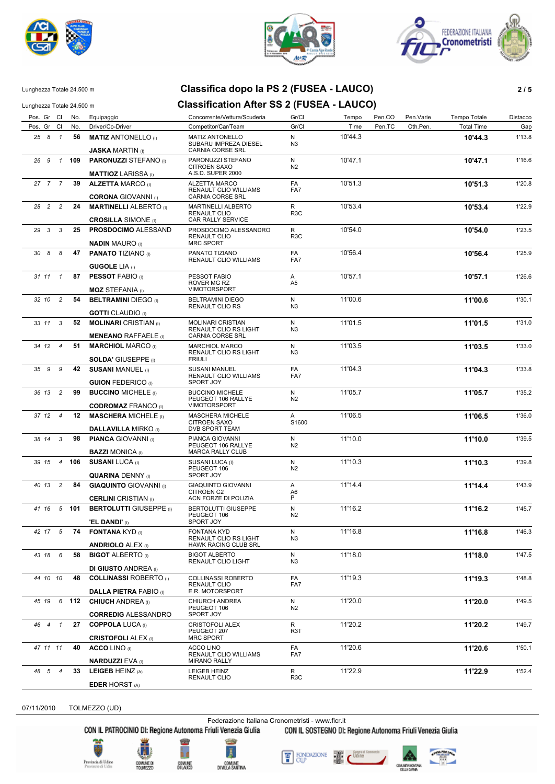





## Lunghezza Totale 24.500 m **Classifica dopo la PS 2 (FUSEA - LAUCO) 2 / 5**

Lunghezza Totale 24.500 m **Classification After SS 2 (FUSEA - LAUCO)** 

| Pos. Gr Cl                       | No. | Equipaggio                                                  | Concorrente/Vettura/Scuderia                                               | Gr/Cl               | Tempo   | Pen.CO | Pen.Varie | Tempo Totale      | Distacco |
|----------------------------------|-----|-------------------------------------------------------------|----------------------------------------------------------------------------|---------------------|---------|--------|-----------|-------------------|----------|
| Pos. Gr Cl                       | No. | Driver/Co-Driver                                            | Competitor/Car/Team                                                        | Gr/Cl               | Time    | Pen.TC | Oth.Pen.  | <b>Total Time</b> | Gap      |
| 25 8 1                           | 56  | <b>MATIZ ANTONELLO</b> (I)                                  | MATIZ ANTONELLO<br>SUBARU IMPREZA DIESEL                                   | N<br>N3             | 10'44.3 |        |           | 10'44.3           | 1'13.8   |
|                                  |     | <b>JASKA MARTIN</b> (I)                                     | CARNIA CORSE SRL                                                           |                     |         |        |           |                   |          |
| 26 9<br>$\overline{1}$           | 109 | <b>PARONUZZI STEFANO</b> (I)                                | PARONUZZI STEFANO<br><b>CITROEN SAXO</b><br>A.S.D. SUPER 2000              | N<br>N <sub>2</sub> | 10'47.1 |        |           | 10'47.1           | 1'16.6   |
|                                  |     | <b>MATTIOZ LARISSA</b> (I)                                  |                                                                            |                     |         |        |           |                   |          |
| 27 7 7                           | 39  | <b>ALZETTA MARCO (I)</b><br><b>CORONA</b> GIOVANNI (I)      | ALZETTA MARCO<br>RENAULT CLIO WILLIAMS<br>CARNIA CORSE SRL                 | FA<br>FA7           | 10'51.3 |        |           | 10'51.3           | 1'20.8   |
| 28 2<br>$\overline{\phantom{a}}$ | 24  | <b>MARTINELLI ALBERTO</b> (I)                               | MARTINELLI ALBERTO                                                         | R                   | 10'53.4 |        |           | 10'53.4           | 1'22.9   |
|                                  |     | <b>CROSILLA SIMONE</b> (i)                                  | <b>RENAULT CLIO</b><br><b>CAR RALLY SERVICE</b>                            | R <sub>3</sub> C    |         |        |           |                   |          |
| 29 3 3                           | 25  | <b>PROSDOCIMO ALESSAND</b>                                  | PROSDOCIMO ALESSANDRO                                                      | R                   | 10'54.0 |        |           | 10'54.0           | 1'23.5   |
|                                  |     | <b>NADIN MAURO</b> (I)                                      | <b>RENAULT CLIO</b><br>MRC SPORT                                           | R <sub>3</sub> C    |         |        |           |                   |          |
| 30 8 8                           | 47  | <b>PANATO TIZIANO (I)</b>                                   | PANATO TIZIANO<br><b>RENAULT CLIO WILLIAMS</b>                             | FA<br>FA7           | 10'56.4 |        |           | 10'56.4           | 1'25.9   |
|                                  |     | <b>GUGOLE LIA</b> (I)                                       |                                                                            |                     |         |        |           |                   |          |
| 31 11<br>$\overline{1}$          | 87  | <b>PESSOT FABIO (I)</b>                                     | PESSOT FABIO<br>ROVER MG RZ                                                | Α<br>A5             | 10'57.1 |        |           | 10'57.1           | 1'26.6   |
|                                  |     | <b>MOZ STEFANIA</b> (I)                                     | <b>VIMOTORSPORT</b>                                                        |                     |         |        |           |                   |          |
| $\overline{c}$<br>32 10          | 54  | <b>BELTRAMINI DIEGO (I)</b>                                 | <b>BELTRAMINI DIEGO</b><br>RENAULT CLIO RS                                 | N<br>N <sub>3</sub> | 11'00.6 |        |           | 11'00.6           | 1'30.1   |
|                                  |     | <b>GOTTI</b> CLAUDIO (I)                                    |                                                                            |                     |         |        |           |                   |          |
| 3<br>33 11                       | 52  | <b>MOLINARI</b> CRISTIAN (I)<br><b>MENEANO RAFFAELE</b> (i) | <b>MOLINARI CRISTIAN</b><br>RENAULT CLIO RS LIGHT<br>CARNIA CORSE SRL      | N<br>N <sub>3</sub> | 11'01.5 |        |           | 11'01.5           | 1'31.0   |
|                                  | 51  |                                                             | <b>MARCHIOL MARCO</b>                                                      | N                   | 11'03.5 |        |           |                   | 1'33.0   |
| 34 12 4                          |     | <b>MARCHIOL MARCO (I)</b><br><b>SOLDA' GIUSEPPE (I)</b>     | RENAULT CLIO RS LIGHT<br><b>FRIULI</b>                                     | N <sub>3</sub>      |         |        |           | 11'03.5           |          |
| 9<br>35 9                        | 42  | <b>SUSANI MANUEL (I)</b>                                    | <b>SUSANI MANUEL</b>                                                       | FA                  | 11'04.3 |        |           | 11'04.3           | 1'33.8   |
|                                  |     | <b>GUION FEDERICO</b> (I)                                   | RENAULT CLIO WILLIAMS<br>SPORT JOY                                         | FA7                 |         |        |           |                   |          |
| 36 13<br>$\overline{c}$          | 99  | <b>BUCCINO MICHELE (I)</b>                                  | <b>BUCCINO MICHELE</b>                                                     | N                   | 11'05.7 |        |           | 11'05.7           | 1'35.2   |
|                                  |     | <b>CODROMAZ FRANCO (I)</b>                                  | PEUGEOT 106 RALLYE<br><b>VIMOTORSPORT</b>                                  | N <sub>2</sub>      |         |        |           |                   |          |
| 37 12 4                          | 12  | <b>MASCHERA MICHELE (I)</b>                                 | <b>MASCHERA MICHELE</b>                                                    | Α                   | 11'06.5 |        |           | 11'06.5           | 1'36.0   |
|                                  |     | <b>DALLAVILLA MIRKO</b> (I)                                 | <b>CITROEN SAXO</b><br>DVB SPORT TEAM                                      | S1600               |         |        |           |                   |          |
| 38 14 3                          | 98  | <b>PIANCA GIOVANNI</b> (I)                                  | PIANCA GIOVANNI                                                            | N                   | 11'10.0 |        |           | 11'10.0           | 1'39.5   |
|                                  |     | <b>BAZZI MONICA</b> (I)                                     | PEUGEOT 106 RALLYE<br><b>MARCA RALLY CLUB</b>                              | N <sub>2</sub>      |         |        |           |                   |          |
| 39 15 4                          | 106 | <b>SUSANI LUCA (I)</b>                                      | SUSANI LUCA (I)                                                            | N                   | 11'10.3 |        |           | 11'10.3           | 1'39.8   |
|                                  |     |                                                             | PEUGEOT 106                                                                | N <sub>2</sub>      |         |        |           |                   |          |
|                                  |     | <b>QUARINA DENNY</b> (I)                                    | SPORT JOY                                                                  |                     |         |        |           |                   |          |
| $\overline{2}$<br>40 13          | 84  | <b>GIAQUINTO</b> GIOVANNI (I)                               | <b>GIAQUINTO GIOVANNI</b><br>CITROEN C2                                    | A<br>A6             | 11'14.4 |        |           | 11'14.4           | 1'43.9   |
|                                  |     | <b>CERLINI</b> CRISTIAN (I)                                 | ACN FORZE DI POLIZIA                                                       | P                   |         |        |           |                   |          |
| $5^{\circ}$<br>41 16             | 101 | <b>BERTOLUTTI GIUSEPPE (I)</b>                              | BERTOLUTTI GIUSEPPE<br>PEUGEOT 106<br>SPORT JOY                            | N<br>N <sub>2</sub> | 11'16.2 |        |           | 11'16.2           | 1'45.7   |
|                                  |     | <b>'EL DANDI'</b> (i)                                       |                                                                            |                     |         |        |           |                   |          |
| 42 17 5                          |     | 74 <b>FONTANA</b> $KYD_{(1)}$<br><b>ANDRIOLO ALEX (I)</b>   | <b>FONTANA KYD</b><br>RENAULT CLIO RS LIGHT<br><b>HAWK RACING CLUB SRL</b> | N<br>N <sub>3</sub> | 11'16.8 |        |           | 11'16.8           | 1'46.3   |
| 43 18 6                          | 58  | <b>BIGOT ALBERTO</b> (I)                                    | <b>BIGOT ALBERTO</b>                                                       | N                   | 11'18.0 |        |           | 11'18.0           | 1'47.5   |
|                                  |     | <b>DI GIUSTO ANDREA</b> (I)                                 | RENAULT CLIO LIGHT                                                         | N <sub>3</sub>      |         |        |           |                   |          |
| 44 10 10                         | 48  | <b>COLLINASSI ROBERTO</b> (I)                               | COLLINASSI ROBERTO                                                         | FA                  | 11'19.3 |        |           | 11'19.3           | 1'48.8   |
|                                  |     | <b>DALLA PIETRA FABIO (i)</b>                               | <b>RENAULT CLIO</b><br>E.R. MOTORSPORT                                     | FA7                 |         |        |           |                   |          |
| 45 19 6 112                      |     | <b>CHIUCH ANDREA</b> (i)                                    | CHIURCH ANDREA                                                             | N                   | 11'20.0 |        |           | 11'20.0           | 1'49.5   |
|                                  |     | <b>CORREDIG ALESSANDRO</b>                                  | PEUGEOT 106<br>SPORT JOY                                                   | N2                  |         |        |           |                   |          |
| 46 4 1                           | 27  | <b>COPPOLA LUCA (I)</b>                                     | <b>CRISTOFOLI ALEX</b>                                                     | R                   | 11'20.2 |        |           | 11'20.2           | 1'49.7   |
|                                  |     | <b>CRISTOFOLI ALEX (i)</b>                                  | PEUGEOT 207<br><b>MRC SPORT</b>                                            | R <sub>3</sub> T    |         |        |           |                   |          |
| 47 11 11                         | 40  | <b>ACCO LINO</b> (I)                                        | <b>ACCO LINO</b>                                                           | FA                  | 11'20.6 |        |           | 11'20.6           | 1'50.1   |
|                                  |     | <b>NARDUZZI EVA (I)</b>                                     | RENAULT CLIO WILLIAMS<br><b>MIRANO RALLY</b>                               | FA7                 |         |        |           |                   |          |
| 48 5 4                           | 33  | LEIGEB HEINZ (A)                                            | LEIGEB HEINZ<br><b>RENAULT CLIO</b>                                        | R<br>R3C            | 11'22.9 |        |           | 11'22.9           | 1'52.4   |
|                                  |     | <b>EDER HORST</b> (A)                                       |                                                                            |                     |         |        |           |                   |          |

07/11/2010 TOLMEZZO (UD)

Federazione Italiana Cronometristi - www.ficr.it<br>CON IL PATROCINIO DI: Regione Autonoma Friuli Venezia Giulia CON IL SOSTEGNO DI:

CON IL SOSTEGNO DI: Regione Autonoma Friuli Venezia Giulia



ĥ d



FONDAZIONE 譼

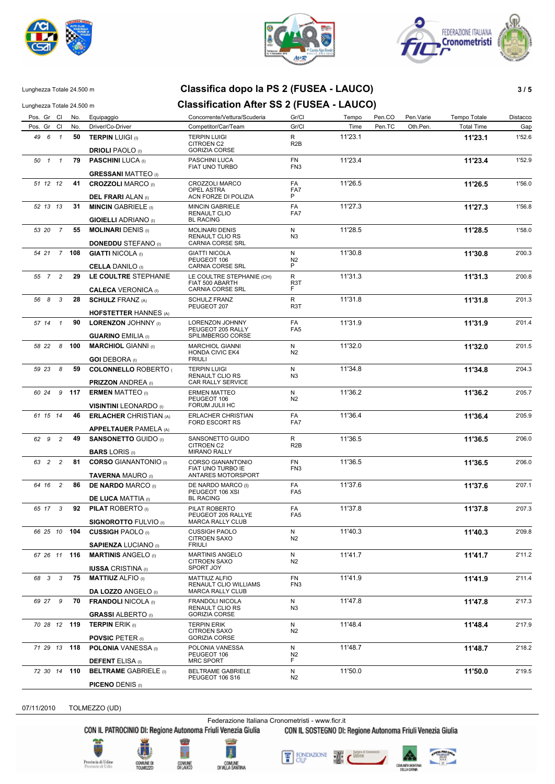





#### Lunghezza Totale 24.500 m **Classifica dopo la PS 2 (FUSEA - LAUCO) 3 / 5**

#### Lunghezza Totale 24.500 m **Classification After SS 2 (FUSEA - LAUCO)**

Pos. Gr Cl No. Equipaggio Concorrente/Vettura/Scuderia Gr/Cl Tempo Pen.CO Pen.Varie Tempo Totale Distacco Pos. Gr Cl No. Driver/Co-Driver Competitor/Car/Team Gr/Cl Gr/Cl Time Pen.TC Oth.Pen. Total Time Gap *49* **50 TERPIN** LUIGI (I) TERPIN LUIGI **11'23.1** 1'52.6 CITROEN C2  *6 1* **DRIOLI** PAOLO (I) 11'23.1 GORIZIA CORSE R R2B *50* **79 PASCHINI** LUCA (I) PASCHINI LUCA **11'23.4** 1'52.9 FIAT UNO TURBO  *1 1* **GRESSANI** MATTEO (I) FN 11'23.4 FN3 *51* **41 CROZZOLI** MARCO (I) CROZZOLI MARCO **11'26.5** 1'56.0 OPEL ASTRA  *12 12* **DEL FRARI** ALAN (I) 11'26.5 ACN FORZE DI POLIZIA FA P FA7 *52* **31 MINCIN** GABRIELE (I) MINCIN GABRIELE **11'27.3** 1'56.8 RENAULT CLIO  *13 13* **GIOIELLI** ADRIANO (I) 11'27.3 BL RACING FA  $FA7$ *53* **55 MOLINARI** DENIS (I) MOLINARI DENIS **11'28.5** 1'58.0 RENAULT CLIO RS 53 20 **DONEDDU** STEFANO (I) 11'28.5 CARNIA CORSE SRL N N3 *54* **108 GIATTI** NICOLA (I) GIATTI NICOLA **11'30.8** 2'00.3 PEUGEOT 106  *21 7* **CELLA** DANILO (I) 11'30.8 CARNIA CORSE SRL N N2<br>P *55* **29 LE COULTRE** STEPHANIE LE COULTRE STEPHANIE (CH) **11'31.3** 2'00.8 FIAT 500 ABARTH  *7 2* **CALECA** VERONICA (I) 11'31.3 CARNIA CORSE SRL R F R3T *56* **28 SCHULZ** FRANZ (A) SCHULZ FRANZ **11'31.8** 2'01.3 PEUGEOT 207  *8 3* **HOFSTETTER** HANNES (A) R 11'31.8 R<br>R3T *57* **90 LORENZON** JOHNNY (I) LORENZON JOHNNY **11'31.9** 2'01.4 PEUGEOT 205 RALLY  *14 1* **GUARINO** EMILIA (I) 11'31.9 SPILIMBERGO CORSE FA FA5 *58* **100 MARCHIOL** GIANNI (I) MARCHIOL GIANNI **11'32.0** 2'01.5 HONDA CIVIC EK4  *22 8* **GOI** DEBORA (I) 11'32.0 FRIULI N N2 *59* **59 COLONNELLO** ROBERTO ( TERPIN LUIGI **11'34.8** 2'04.3 RENAULT CLIO RS CAR RALLY SERVICE  *23 8* **PRIZZON** ANDREA (I) 11'34.8 N ..<br>N3 *60* **117 ERMEN** MATTEO (I) ERMEN MATTEO **11'36.2** 2'05.7 PEUGEOT 106  *24 9* **VISINTINI** LEONARDO (I) 11'36.2 FORUM JULII HC N N2 *61* **46 ERLACHER** CHRISTIAN (A) ERLACHER CHRISTIAN **11'36.4** 2'05.9 FORD ESCORT RS  *15 14* **APPELTAUER** PAMELA (A) 11'36.4 FA7 *62* **49 SANSONETTO** GUIDO (I) SANSONETTO GUIDO **11'36.5** 2'06.0 CITROEN C2  *9 2* **BARS** LORIS (I) 11'36.5 MIRANO RALLY R R2B *63* **81 CORSO** GIANANTONIO (I) CORSO GIANANTONIO **11'36.5** 2'06.0 FIAT UNO TURBO IE  *2 2* **TAVERNA** MAURO (I) 11'36.5 ANTARES MOTORSPORT FN FN3 *64* **86 DE NARDO** MARCO (I) DE NARDO MARCO (I) **11'37.6** 2'07.1 PEUGEOT 106 XSI  *16 2* **DE LUCA** MATTIA (I) 11'37.6 BL RACING FA FA5 *65* **92 PILAT** ROBERTO (I) PILAT ROBERTO **11'37.8** 2'07.3 PEUGEOT 205 RALLYE  *17 3* **SIGNOROTTO** FULVIO (I) 11'37.8 MARCA RALLY CLUB FA FA5 *66* **104 CUSSIGH** PAOLO (I) CUSSIGH PAOLO **11'40.3** 2'09.8 CITROEN SAXO  *25 10* **SAPIENZA** LUCIANO (I) 11'40.3 **FRIULI** N N2 *67* **116 MARTINIS** ANGELO (I) MARTINIS ANGELO **11'41.7** 2'11.2 CITROEN SAXO  *26 11* **IUSSA** CRISTINA (I) 11'41.7 SPORT JOY N  $N<sub>2</sub>$ *68* **75 MATTIUZ** ALFIO (I) MATTIUZ ALFIO **11'41.9** 2'11.4 RENAULT CLIO WILLIAMS  *3 3* **DA LOZZO** ANGELO (I) 11'41.9 MARCA RALLY CLUB FN FN3 *69* **70 FRANDOLI** NICOLA (I) FRANDOLI NICOLA **11'47.8** 2'17.3 RENAULT CLIO RS  *27 9* **GRASSI** ALBERTO (I) 11'47.8 GORIZIA CORSE N N3 *70* **119 TERPIN** ERIK (I) TERPIN ERIK **11'48.4** 2'17.9 CITROEN SAXO  *28 12* **POVSIC** PETER (I) 11'48.4 GORIZIA CORSE N N2 *71* **118 POLONIA** VANESSA (I) POLONIA VANESSA **11'48.7** 2'18.2 PEUGEOT 106  *29 13* **DEFENT** ELISA (I) 11'48.7 MRC SPORT N N2<br>F *RELTRAME* GABRIELE (I) BELTRAME GABRIELE **11'50.0 11'50.0 11'50.0 2**'19.5 PEUGEOT 106 S16  *30 14* **PICENO** DENIS (I) 11'50.0 N2

07/11/2010 TOLMEZZO (UD)

Federazione Italiana Cronometristi - www.ficr.it

CON IL PATROCINIO DI: Regione Autonoma Friuli Venezia Giulia CON IL SOSTEGNO DI: Regione Autonoma Friuli Venezia Giulia





COMUNE<br>DILAUCO







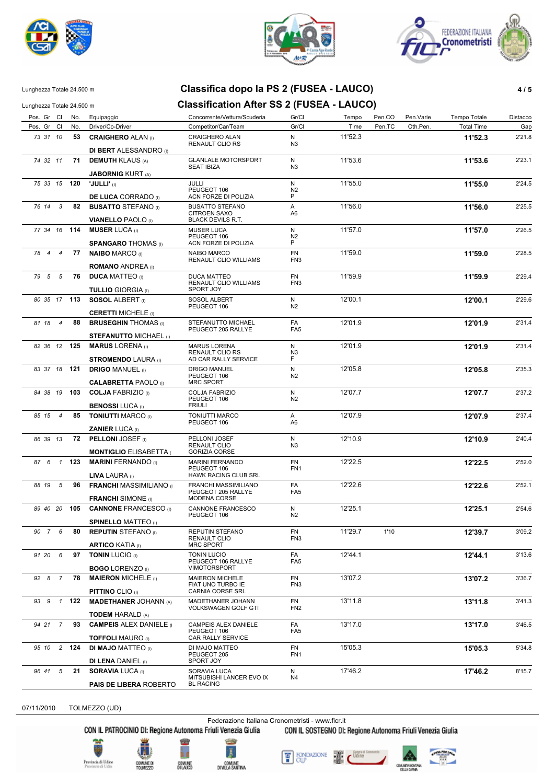





### Lunghezza Totale 24.500 m **Classifica dopo la PS 2 (FUSEA - LAUCO) 4 / 5**

#### Lunghezza Totale 24.500 m **Classification After SS 2 (FUSEA - LAUCO)**

| Pos. Gr Cl   |                | No.   | Equipaggio                                                                      | Concorrente/Vettura/Scuderia                                    | Gr/Cl                        | Tempo   | Pen.CO | Pen.Varie | Tempo Totale      | Distacco |
|--------------|----------------|-------|---------------------------------------------------------------------------------|-----------------------------------------------------------------|------------------------------|---------|--------|-----------|-------------------|----------|
| Pos. Gr Cl   |                | No.   | Driver/Co-Driver                                                                | Competitor/Car/Team                                             | Gr/Cl                        | Time    | Pen.TC | Oth.Pen.  | <b>Total Time</b> | Gap      |
| 73 31 10     |                | 53    | <b>CRAIGHERO ALAN (I)</b><br><b>DI BERT ALESSANDRO</b> (I)                      | CRAIGHERO ALAN<br><b>RENAULT CLIO RS</b>                        | N<br>N <sub>3</sub>          | 11'52.3 |        |           | 11'52.3           | 2'21.8   |
| 74 32 11     |                | 71    | <b>DEMUTH KLAUS (A)</b>                                                         | <b>GLANLALE MOTORSPORT</b><br><b>SEAT IBIZA</b>                 | N<br>N <sub>3</sub>          | 11'53.6 |        |           | 11'53.6           | 2'23.1   |
| 75 33 15 120 |                |       | <b>JABORNIG KURT (A)</b><br>'JULLI' (I)                                         | <b>JULLI</b><br>PEUGEOT 106                                     | N<br>N <sub>2</sub>          | 11'55.0 |        |           | 11'55.0           | 2'24.5   |
| 76 14 3      |                | 82    | <b>DE LUCA CORRADO</b> (I)<br><b>BUSATTO STEFANO</b> (i)                        | ACN FORZE DI POLIZIA<br><b>BUSATTO STEFANO</b>                  | P<br>Α                       | 11'56.0 |        |           | 11'56.0           | 2'25.5   |
|              |                |       | <b>VIANELLO PAOLO (I)</b>                                                       | <b>CITROEN SAXO</b><br><b>BLACK DEVILS R.T.</b>                 | A6                           |         |        |           |                   |          |
| 77 34 16 114 |                |       | <b>MUSER LUCA</b> (i)<br><b>SPANGARO THOMAS</b> (I)                             | <b>MUSER LUCA</b><br>PEUGEOT 106<br>ACN FORZE DI POLIZIA        | N<br>N2<br>P                 | 11'57.0 |        |           | 11'57.0           | 2'26.5   |
| 78 4 4       |                | 77    | <b>NAIBO MARCO</b> (I)                                                          | <b>NAIBO MARCO</b><br>RENAULT CLIO WILLIAMS                     | <b>FN</b><br>FN3             | 11'59.0 |        |           | 11'59.0           | 2'28.5   |
| 79 5 5       |                | 76    | <b>ROMANO ANDREA</b> (1)<br><b>DUCA MATTEO (I)</b><br><b>TULLIO</b> GIORGIA (I) | DUCA MATTEO<br>RENAULT CLIO WILLIAMS<br>SPORT JOY               | FN<br>FN <sub>3</sub>        | 11'59.9 |        |           | 11'59.9           | 2'29.4   |
| 80 35 17 113 |                |       | <b>SOSOL ALBERT</b> (i)<br><b>CERETTI MICHELE</b> (I)                           | SOSOL ALBERT<br>PEUGEOT 106                                     | N<br>N2                      | 12'00.1 |        |           | 12'00.1           | 2'29.6   |
| 81 18 4      |                | 88    | <b>BRUSEGHIN THOMAS</b> (I)                                                     | <b>STEFANUTTO MICHAEL</b><br>PEUGEOT 205 RALLYE                 | <b>FA</b><br>FA <sub>5</sub> | 12'01.9 |        |           | 12'01.9           | 2'31.4   |
| 82 36 12 125 |                |       | <b>STEFANUTTO MICHAEL (I)</b><br><b>MARUS LORENA</b> (I)                        | <b>MARUS LORENA</b><br><b>RENAULT CLIO RS</b>                   | N<br>N3                      | 12'01.9 |        |           | 12'01.9           | 2'31.4   |
| 83 37 18 121 |                |       | <b>STROMENDO LAURA (I)</b><br><b>DRIGO MANUEL (I)</b>                           | AD CAR RALLY SERVICE<br><b>DRIGO MANUEL</b><br>PEUGEOT 106      | F.<br>N<br>N2                | 12'05.8 |        |           | 12'05.8           | 2'35.3   |
| 84 38 19 103 |                |       | <b>CALABRETTA PAOLO</b> (I)<br><b>COLJA FABRIZIO</b> (I)                        | MRC SPORT<br><b>COLJA FABRIZIO</b><br>PEUGEOT 106               | N<br>N2                      | 12'07.7 |        |           | 12'07.7           | 2'37.2   |
| 85 15 4      |                | 85    | <b>BENOSSI LUCA</b> (I)<br><b>TONIUTTI MARCO</b> (I)                            | <b>FRIULI</b><br><b>TONIUTTI MARCO</b><br>PEUGEOT 106           | Α<br>A6                      | 12'07.9 |        |           | 12'07.9           | 2'37.4   |
| 86 39 13     |                | 72    | <b>ZANIER LUCA</b> (I)<br><b>PELLONI JOSEF</b> (I)                              | PELLONI JOSEF                                                   | N                            | 12'10.9 |        |           | 12'10.9           | 2'40.4   |
|              |                |       | <b>MONTIGLIO ELISABETTA</b>                                                     | RENAULT CLIO<br><b>GORIZIA CORSE</b>                            | N <sub>3</sub>               |         |        |           |                   |          |
| 87 6         | $\overline{1}$ | 123   | <b>MARINI FERNANDO</b> (I)<br><b>LIVA LAURA</b> (I)                             | <b>MARINI FERNANDO</b><br>PEUGEOT 106<br>HAWK RACING CLUB SRL   | FN<br>FN <sub>1</sub>        | 12'22.5 |        |           | 12'22.5           | 2'52.0   |
| 88 19 5      |                | 96    | <b>FRANCHI MASSIMILIANO</b> (I)<br><b>FRANCHI</b> SIMONE (I)                    | FRANCHI MASSIMILIANO<br>PEUGEOT 205 RALLYE<br>MODENA CORSE      | FA<br>FA <sub>5</sub>        | 12'22.6 |        |           | 12'22.6           | 2'52.1   |
| 89 40 20 105 |                |       | <b>CANNONE FRANCESCO</b> (I)<br><b>SPINELLO MATTEO (I)</b>                      | CANNONE FRANCESCO<br>PEUGEOT 106                                | N<br>N2                      | 12'25.1 |        |           | 12'25.1           | 2'54.6   |
| 90 7 6       |                | 80    | <b>REPUTIN</b> STEFANO (I)<br><b>ARTICO KATIA (I)</b>                           | REPUTIN STEFANO<br><b>RENAULT CLIO</b><br><b>MRC SPORT</b>      | FN<br>FN <sub>3</sub>        | 11'29.7 | 1'10   |           | 12'39.7           | 3'09.2   |
| 91 20 6      |                | 97    | <b>TONIN LUCIO (I)</b><br><b>BOGO LORENZO</b> (I)                               | <b>TONIN LUCIO</b><br>PEUGEOT 106 RALLYE<br><b>VIMOTORSPORT</b> | FA<br>FA <sub>5</sub>        | 12'44.1 |        |           | 12'44.1           | 3'13.6   |
| 92 8 7       |                | 78    | <b>MAIERON MICHELE</b> (I)<br><b>PITTINO CLIO (I)</b>                           | <b>MAIERON MICHELE</b><br>FIAT UNO TURBO IE<br>CARNIA CORSE SRL | <b>FN</b><br>FN <sub>3</sub> | 13'07.2 |        |           | 13'07.2           | 3'36.7   |
| 93 9 1 122   |                |       | <b>MADETHANER JOHANN (A)</b><br><b>TODEM HARALD (A)</b>                         | MADETHANER JOHANN<br><b>VOLKSWAGEN GOLF GTI</b>                 | FN<br>FN <sub>2</sub>        | 13'11.8 |        |           | 13'11.8           | 3'41.3   |
| 94 21 7      |                | 93    | <b>CAMPEIS ALEX DANIELE (I)</b><br><b>TOFFOLI MAURO (I)</b>                     | CAMPEIS ALEX DANIELE<br>PEUGEOT 106<br>CAR RALLY SERVICE        | FA<br>FA <sub>5</sub>        | 13'17.0 |        |           | 13'17.0           | 3'46.5   |
| 95 10        |                | 2 124 | <b>DI MAJO MATTEO</b> (I)<br><b>DI LENA DANIEL (I)</b>                          | DI MAJO MATTEO<br>PEUGEOT 205<br>SPORT JOY                      | FN<br>FN <sub>1</sub>        | 15'05.3 |        |           | 15'05.3           | 5'34.8   |
| 96 41 5      |                | 21    | <b>SORAVIA LUCA (I)</b><br><b>PAIS DE LIBERA ROBERTO</b>                        | SORAVIA LUCA<br>MITSUBISHI LANCER EVO IX<br><b>BL RACING</b>    | N<br>N4                      | 17'46.2 |        |           | 17'46.2           | 8'15.7   |

07/11/2010 TOLMEZZO (UD)

Federazione Italiana Cronometristi - www.ficr.it<br>CON IL PATROCINIO DI: Regione Autonoma Friuli Venezia Giulia CON IL SOSTEGNO DI:

CON IL SOSTEGNO DI: Regione Autonoma Friuli Venezia Giulia



**PAIS DE LIBERA** ROBERTO

COMUNE DI<br>TOUMEZZO